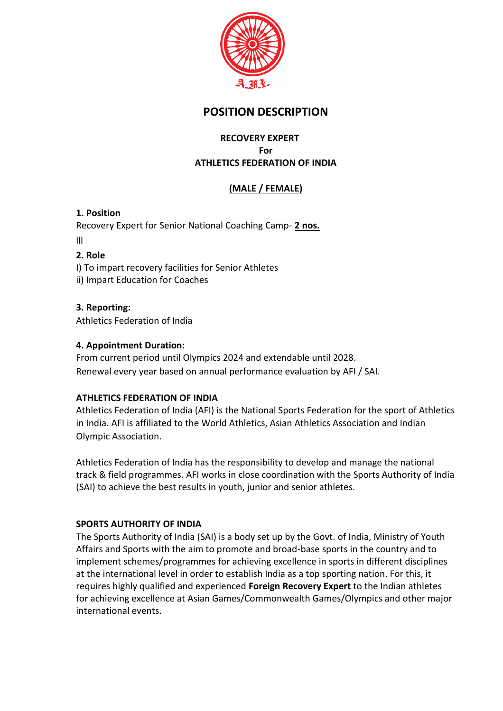

# **POSITION DESCRIPTION**

## **RECOVERY EXPERT For ATHLETICS FEDERATION OF INDIA**

# **(MALE / FEMALE)**

### **1. Position**

Recovery Expert for Senior National Coaching Camp- **2 nos.** lll

#### **2. Role**

I) To impart recovery facilities for Senior Athletes ii) Impart Education for Coaches

### **3. Reporting:**

Athletics Federation of India

### **4. Appointment Duration:**

From current period until Olympics 2024 and extendable until 2028. Renewal every year based on annual performance evaluation by AFI / SAI.

### **ATHLETICS FEDERATION OF INDIA**

Athletics Federation of India (AFI) is the National Sports Federation for the sport of Athletics in India. AFI is affiliated to the World Athletics, Asian Athletics Association and Indian Olympic Association.

Athletics Federation of India has the responsibility to develop and manage the national track & field programmes. AFI works in close coordination with the Sports Authority of India (SAI) to achieve the best results in youth, junior and senior athletes.

#### **SPORTS AUTHORITY OF INDIA**

The Sports Authority of India (SAI) is a body set up by the Govt. of India, Ministry of Youth Affairs and Sports with the aim to promote and broad-base sports in the country and to implement schemes/programmes for achieving excellence in sports in different disciplines at the international level in order to establish India as a top sporting nation. For this, it requires highly qualified and experienced **Foreign Recovery Expert** to the Indian athletes for achieving excellence at Asian Games/Commonwealth Games/Olympics and other major international events.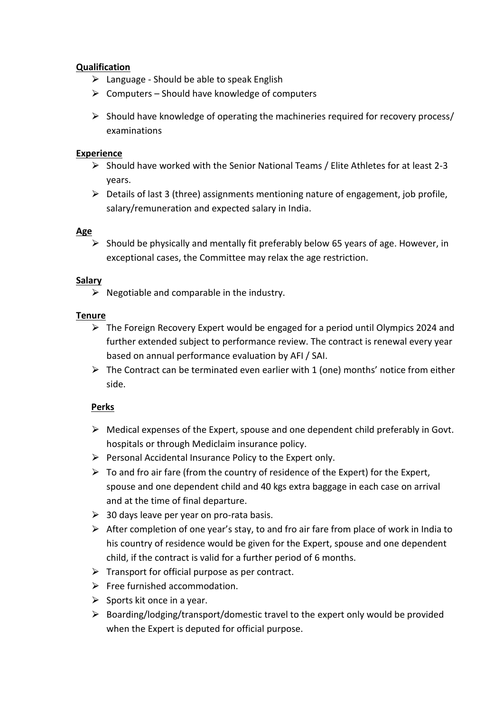### **Qualification**

- $\triangleright$  Language Should be able to speak English
- $\triangleright$  Computers Should have knowledge of computers
- $\triangleright$  Should have knowledge of operating the machineries required for recovery process/ examinations

### **Experience**

- $\triangleright$  Should have worked with the Senior National Teams / Elite Athletes for at least 2-3 years.
- $\triangleright$  Details of last 3 (three) assignments mentioning nature of engagement, job profile, salary/remuneration and expected salary in India.

### **Age**

 $\triangleright$  Should be physically and mentally fit preferably below 65 years of age. However, in exceptional cases, the Committee may relax the age restriction.

### **Salary**

 $\triangleright$  Negotiable and comparable in the industry.

### **Tenure**

- $\triangleright$  The Foreign Recovery Expert would be engaged for a period until Olympics 2024 and further extended subject to performance review. The contract is renewal every year based on annual performance evaluation by AFI / SAI.
- $\triangleright$  The Contract can be terminated even earlier with 1 (one) months' notice from either side.

### **Perks**

- $\triangleright$  Medical expenses of the Expert, spouse and one dependent child preferably in Govt. hospitals or through Mediclaim insurance policy.
- $\triangleright$  Personal Accidental Insurance Policy to the Expert only.
- $\triangleright$  To and fro air fare (from the country of residence of the Expert) for the Expert, spouse and one dependent child and 40 kgs extra baggage in each case on arrival and at the time of final departure.
- $\geq$  30 days leave per year on pro-rata basis.
- $\triangleright$  After completion of one year's stay, to and fro air fare from place of work in India to his country of residence would be given for the Expert, spouse and one dependent child, if the contract is valid for a further period of 6 months.
- $\triangleright$  Transport for official purpose as per contract.
- $\triangleright$  Free furnished accommodation.
- $\triangleright$  Sports kit once in a year.
- $\triangleright$  Boarding/lodging/transport/domestic travel to the expert only would be provided when the Expert is deputed for official purpose.